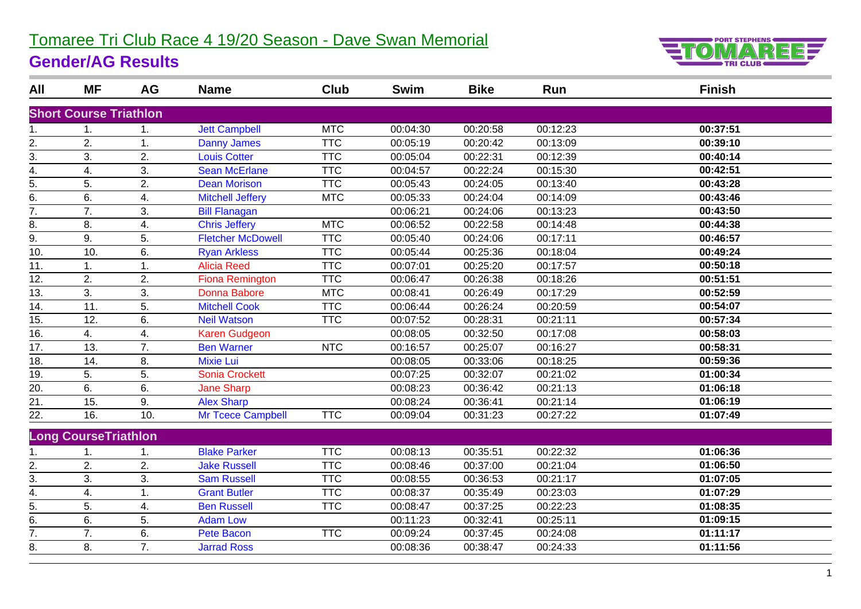## Tomaree Tri Club Race 4 19/20 Season - Dave Swan Memorial

## **Gender/AG Results**



| All               | <b>MF</b>                     | <b>AG</b> | <b>Name</b>              | Club       | <b>Swim</b> | <b>Bike</b> | Run      | <b>Finish</b> |
|-------------------|-------------------------------|-----------|--------------------------|------------|-------------|-------------|----------|---------------|
|                   | <b>Short Course Triathlon</b> |           |                          |            |             |             |          |               |
| 1.                | 1.                            | 1.        | <b>Jett Campbell</b>     | <b>MTC</b> | 00:04:30    | 00:20:58    | 00:12:23 | 00:37:51      |
|                   | 2.                            | 1.        | <b>Danny James</b>       | <b>TTC</b> | 00:05:19    | 00:20:42    | 00:13:09 | 00:39:10      |
| $\frac{2}{3}$ .   | 3.                            | 2.        | <b>Louis Cotter</b>      | <b>TTC</b> | 00:05:04    | 00:22:31    | 00:12:39 | 00:40:14      |
| $\overline{4}$ .  | 4.                            | 3.        | <b>Sean McErlane</b>     | <b>TTC</b> | 00:04:57    | 00:22:24    | 00:15:30 | 00:42:51      |
| $\overline{5}$ .  | 5.                            | 2.        | <b>Dean Morison</b>      | <b>TTC</b> | 00:05:43    | 00:24:05    | 00:13:40 | 00:43:28      |
| $\overline{6}$ .  | 6.                            | 4.        | <b>Mitchell Jeffery</b>  | <b>MTC</b> | 00:05:33    | 00:24:04    | 00:14:09 | 00:43:46      |
| $\overline{7}$ .  | 7.                            | 3.        | <b>Bill Flanagan</b>     |            | 00:06:21    | 00:24:06    | 00:13:23 | 00:43:50      |
| 8.                | 8.                            | 4.        | <b>Chris Jeffery</b>     | <b>MTC</b> | 00:06:52    | 00:22:58    | 00:14:48 | 00:44:38      |
| $\overline{9}$ .  | 9.                            | 5.        | <b>Fletcher McDowell</b> | <b>TTC</b> | 00:05:40    | 00:24:06    | 00:17:11 | 00:46:57      |
| 10.               | 10.                           | 6.        | <b>Ryan Arkless</b>      | <b>TTC</b> | 00:05:44    | 00:25:36    | 00:18:04 | 00:49:24      |
| $\overline{11}$ . | 1.                            | 1.        | <b>Alicia Reed</b>       | <b>TTC</b> | 00:07:01    | 00:25:20    | 00:17:57 | 00:50:18      |
| $\overline{12}$ . | 2.                            | 2.        | <b>Fiona Remington</b>   | <b>TTC</b> | 00:06:47    | 00:26:38    | 00:18:26 | 00:51:51      |
| $\overline{13}$ . | 3.                            | 3.        | Donna Babore             | <b>MTC</b> | 00:08:41    | 00:26:49    | 00:17:29 | 00:52:59      |
| 14.               | 11.                           | 5.        | <b>Mitchell Cook</b>     | <b>TTC</b> | 00:06:44    | 00:26:24    | 00:20:59 | 00:54:07      |
| $\overline{15}$ . | 12.                           | 6.        | <b>Neil Watson</b>       | <b>TTC</b> | 00:07:52    | 00:28:31    | 00:21:11 | 00:57:34      |
| 16.               | 4.                            | 4.        | <b>Karen Gudgeon</b>     |            | 00:08:05    | 00:32:50    | 00:17:08 | 00:58:03      |
| $\overline{17}$ . | 13.                           | 7.        | <b>Ben Warner</b>        | <b>NTC</b> | 00:16:57    | 00:25:07    | 00:16:27 | 00:58:31      |
| 18.               | 14.                           | 8.        | <b>Mixie Lui</b>         |            | 00:08:05    | 00:33:06    | 00:18:25 | 00:59:36      |
| $\overline{19}$ . | 5.                            | 5.        | <b>Sonia Crockett</b>    |            | 00:07:25    | 00:32:07    | 00:21:02 | 01:00:34      |
| $\overline{20}$ . | 6.                            | 6.        | <b>Jane Sharp</b>        |            | 00:08:23    | 00:36:42    | 00:21:13 | 01:06:18      |
| $\overline{21}$ . | 15.                           | 9.        | <b>Alex Sharp</b>        |            | 00:08:24    | 00:36:41    | 00:21:14 | 01:06:19      |
| 22.               | 16.                           | 10.       | Mr Tcece Campbell        | <b>TTC</b> | 00:09:04    | 00:31:23    | 00:27:22 | 01:07:49      |
|                   | <b>Long CourseTriathlon</b>   |           |                          |            |             |             |          |               |
| 1.                | 1.                            | 1.        | <b>Blake Parker</b>      | <b>TTC</b> | 00:08:13    | 00:35:51    | 00:22:32 | 01:06:36      |
| 2.                | 2.                            | 2.        | <b>Jake Russell</b>      | <b>TTC</b> | 00:08:46    | 00:37:00    | 00:21:04 | 01:06:50      |
| $\overline{3}$ .  | 3.                            | 3.        | <b>Sam Russell</b>       | <b>TTC</b> | 00:08:55    | 00:36:53    | 00:21:17 | 01:07:05      |
| $\overline{4}$ .  | 4.                            | 1.        | <b>Grant Butler</b>      | <b>TTC</b> | 00:08:37    | 00:35:49    | 00:23:03 | 01:07:29      |
| $\overline{5}$ .  | 5.                            | 4.        | <b>Ben Russell</b>       | <b>TTC</b> | 00:08:47    | 00:37:25    | 00:22:23 | 01:08:35      |
| $\overline{6}$ .  | 6.                            | 5.        | <b>Adam Low</b>          |            | 00:11:23    | 00:32:41    | 00:25:11 | 01:09:15      |
| $\overline{7}$ .  | 7.                            | 6.        | Pete Bacon               | <b>TTC</b> | 00:09:24    | 00:37:45    | 00:24:08 | 01:11:17      |
| 8.                | 8.                            | 7.        | <b>Jarrad Ross</b>       |            | 00:08:36    | 00:38:47    | 00:24:33 | 01:11:56      |
|                   |                               |           |                          |            |             |             |          |               |